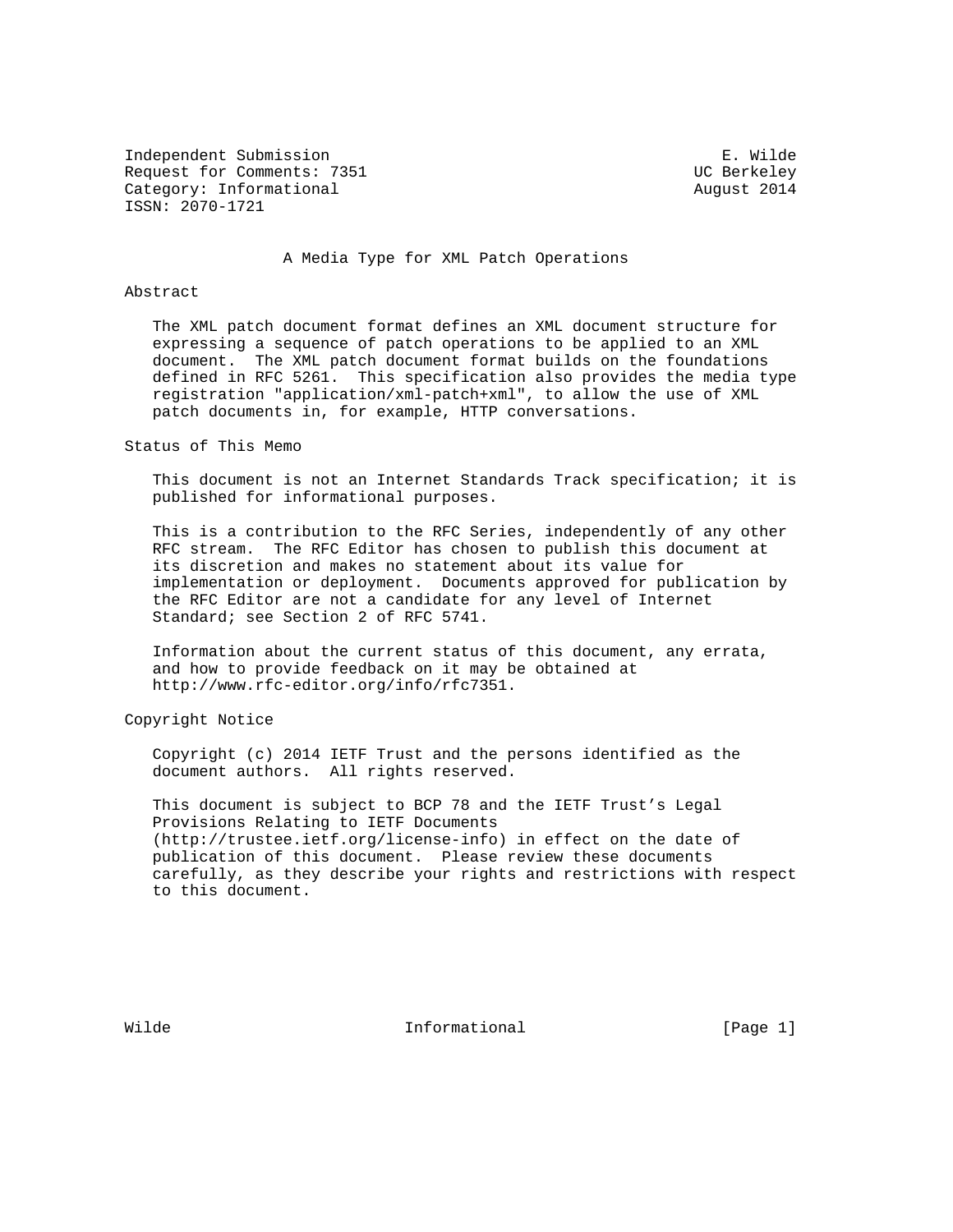Independent Submission E. Wilde Request for Comments: 7351 UC Berkeley Category: Informational and Category: Informational ISSN: 2070-1721

#### A Media Type for XML Patch Operations

#### Abstract

 The XML patch document format defines an XML document structure for expressing a sequence of patch operations to be applied to an XML document. The XML patch document format builds on the foundations defined in RFC 5261. This specification also provides the media type registration "application/xml-patch+xml", to allow the use of XML patch documents in, for example, HTTP conversations.

Status of This Memo

 This document is not an Internet Standards Track specification; it is published for informational purposes.

 This is a contribution to the RFC Series, independently of any other RFC stream. The RFC Editor has chosen to publish this document at its discretion and makes no statement about its value for implementation or deployment. Documents approved for publication by the RFC Editor are not a candidate for any level of Internet Standard; see Section 2 of RFC 5741.

 Information about the current status of this document, any errata, and how to provide feedback on it may be obtained at http://www.rfc-editor.org/info/rfc7351.

Copyright Notice

 Copyright (c) 2014 IETF Trust and the persons identified as the document authors. All rights reserved.

 This document is subject to BCP 78 and the IETF Trust's Legal Provisions Relating to IETF Documents (http://trustee.ietf.org/license-info) in effect on the date of publication of this document. Please review these documents carefully, as they describe your rights and restrictions with respect to this document.

Wilde **Informational** Informational **Informational** [Page 1]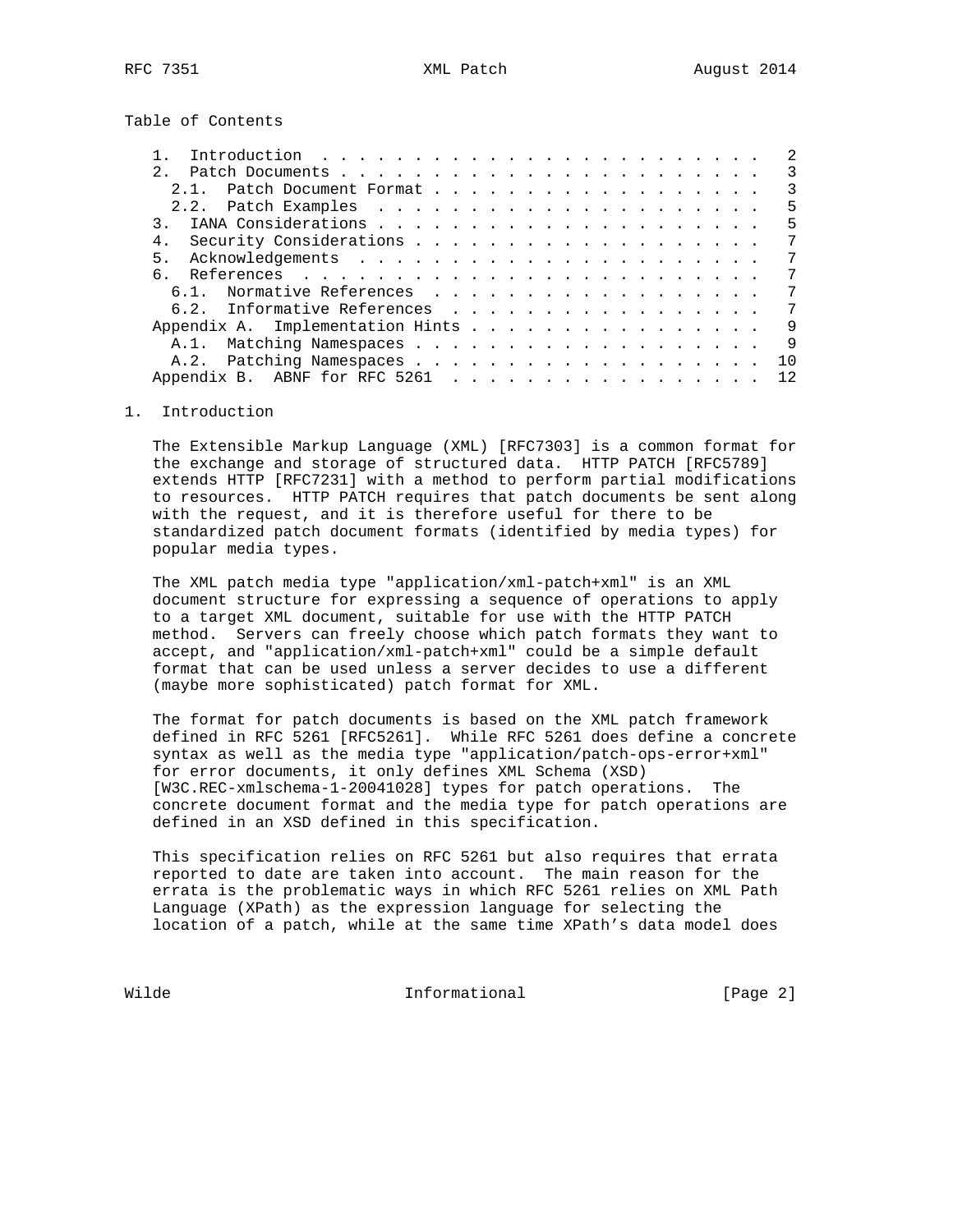Table of Contents

| Introduction $\ldots \ldots \ldots \ldots \ldots \ldots \ldots \ldots$ |     |
|------------------------------------------------------------------------|-----|
|                                                                        | 3   |
| Patch Document Format                                                  | 3   |
|                                                                        | 5   |
|                                                                        | 5   |
| 4.                                                                     | 7   |
| 5.                                                                     | 7   |
| 6                                                                      | 7   |
| Normative References<br>$6.1$ .                                        | 7   |
| 6.2. Informative References                                            | 7   |
| Appendix A. Implementation Hints                                       | 9   |
| $A.1$ .                                                                | 9   |
|                                                                        | 1 O |
|                                                                        | 12. |
|                                                                        |     |

## 1. Introduction

 The Extensible Markup Language (XML) [RFC7303] is a common format for the exchange and storage of structured data. HTTP PATCH [RFC5789] extends HTTP [RFC7231] with a method to perform partial modifications to resources. HTTP PATCH requires that patch documents be sent along with the request, and it is therefore useful for there to be standardized patch document formats (identified by media types) for popular media types.

 The XML patch media type "application/xml-patch+xml" is an XML document structure for expressing a sequence of operations to apply to a target XML document, suitable for use with the HTTP PATCH method. Servers can freely choose which patch formats they want to accept, and "application/xml-patch+xml" could be a simple default format that can be used unless a server decides to use a different (maybe more sophisticated) patch format for XML.

 The format for patch documents is based on the XML patch framework defined in RFC 5261 [RFC5261]. While RFC 5261 does define a concrete syntax as well as the media type "application/patch-ops-error+xml" for error documents, it only defines XML Schema (XSD) [W3C.REC-xmlschema-1-20041028] types for patch operations. The concrete document format and the media type for patch operations are defined in an XSD defined in this specification.

 This specification relies on RFC 5261 but also requires that errata reported to date are taken into account. The main reason for the errata is the problematic ways in which RFC 5261 relies on XML Path Language (XPath) as the expression language for selecting the location of a patch, while at the same time XPath's data model does

Wilde **Informational Informational** [Page 2]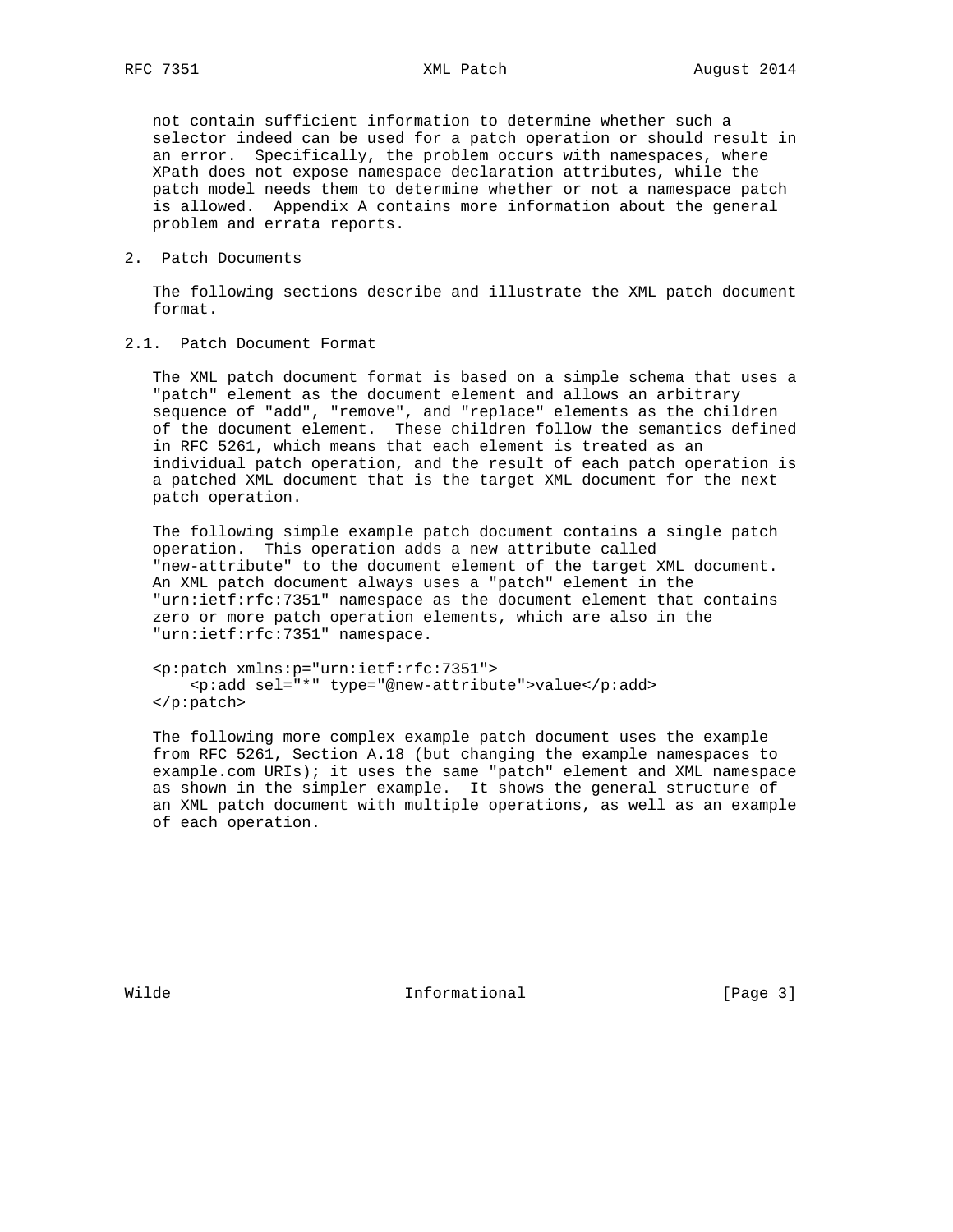not contain sufficient information to determine whether such a selector indeed can be used for a patch operation or should result in an error. Specifically, the problem occurs with namespaces, where XPath does not expose namespace declaration attributes, while the patch model needs them to determine whether or not a namespace patch is allowed. Appendix A contains more information about the general problem and errata reports.

2. Patch Documents

 The following sections describe and illustrate the XML patch document format.

2.1. Patch Document Format

 The XML patch document format is based on a simple schema that uses a "patch" element as the document element and allows an arbitrary sequence of "add", "remove", and "replace" elements as the children of the document element. These children follow the semantics defined in RFC 5261, which means that each element is treated as an individual patch operation, and the result of each patch operation is a patched XML document that is the target XML document for the next patch operation.

 The following simple example patch document contains a single patch operation. This operation adds a new attribute called "new-attribute" to the document element of the target XML document. An XML patch document always uses a "patch" element in the "urn:ietf:rfc:7351" namespace as the document element that contains zero or more patch operation elements, which are also in the "urn:ietf:rfc:7351" namespace.

 <p:patch xmlns:p="urn:ietf:rfc:7351"> <p:add sel="\*" type="@new-attribute">value</p:add> </p:patch>

 The following more complex example patch document uses the example from RFC 5261, Section A.18 (but changing the example namespaces to example.com URIs); it uses the same "patch" element and XML namespace as shown in the simpler example. It shows the general structure of an XML patch document with multiple operations, as well as an example of each operation.

Wilde **Informational** Informational **Informational** [Page 3]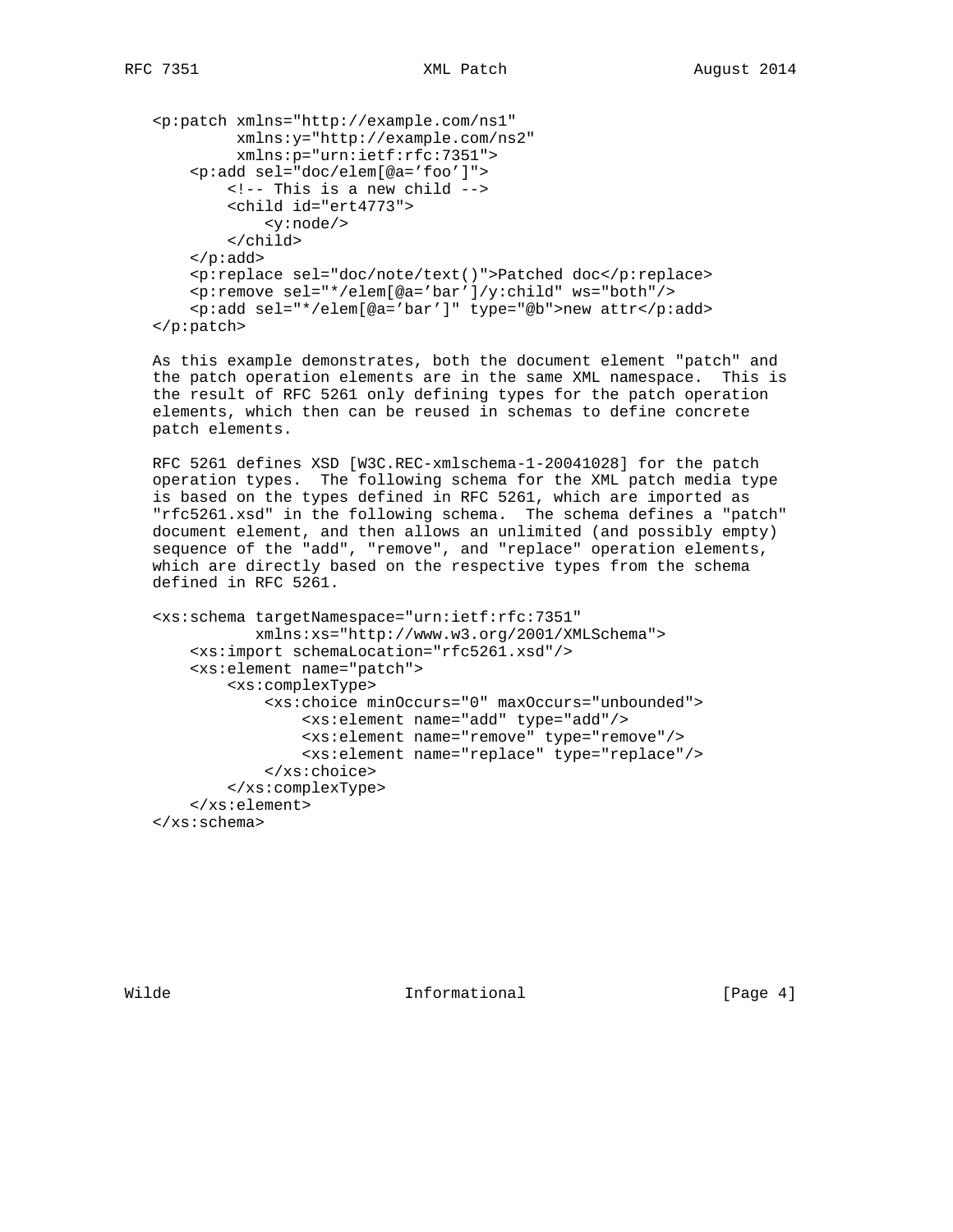```
 <p:patch xmlns="http://example.com/ns1"
          xmlns:y="http://example.com/ns2"
          xmlns:p="urn:ietf:rfc:7351">
     <p:add sel="doc/elem[@a='foo']">
         <!-- This is a new child -->
         <child id="ert4773">
             <y:node/>
         </child>
    \langle p:add\rangle <p:replace sel="doc/note/text()">Patched doc</p:replace>
     <p:remove sel="*/elem[@a='bar']/y:child" ws="both"/>
     <p:add sel="*/elem[@a='bar']" type="@b">new attr</p:add>
 </p:patch>
```
 As this example demonstrates, both the document element "patch" and the patch operation elements are in the same XML namespace. This is the result of RFC 5261 only defining types for the patch operation elements, which then can be reused in schemas to define concrete patch elements.

 RFC 5261 defines XSD [W3C.REC-xmlschema-1-20041028] for the patch operation types. The following schema for the XML patch media type is based on the types defined in RFC 5261, which are imported as "rfc5261.xsd" in the following schema. The schema defines a "patch" document element, and then allows an unlimited (and possibly empty) sequence of the "add", "remove", and "replace" operation elements, which are directly based on the respective types from the schema defined in RFC 5261.

```
 <xs:schema targetNamespace="urn:ietf:rfc:7351"
            xmlns:xs="http://www.w3.org/2001/XMLSchema">
     <xs:import schemaLocation="rfc5261.xsd"/>
     <xs:element name="patch">
         <xs:complexType>
             <xs:choice minOccurs="0" maxOccurs="unbounded">
                 <xs:element name="add" type="add"/>
                 <xs:element name="remove" type="remove"/>
                 <xs:element name="replace" type="replace"/>
             </xs:choice>
         </xs:complexType>
     </xs:element>
 </xs:schema>
```
Wilde **Informational Informational** [Page 4]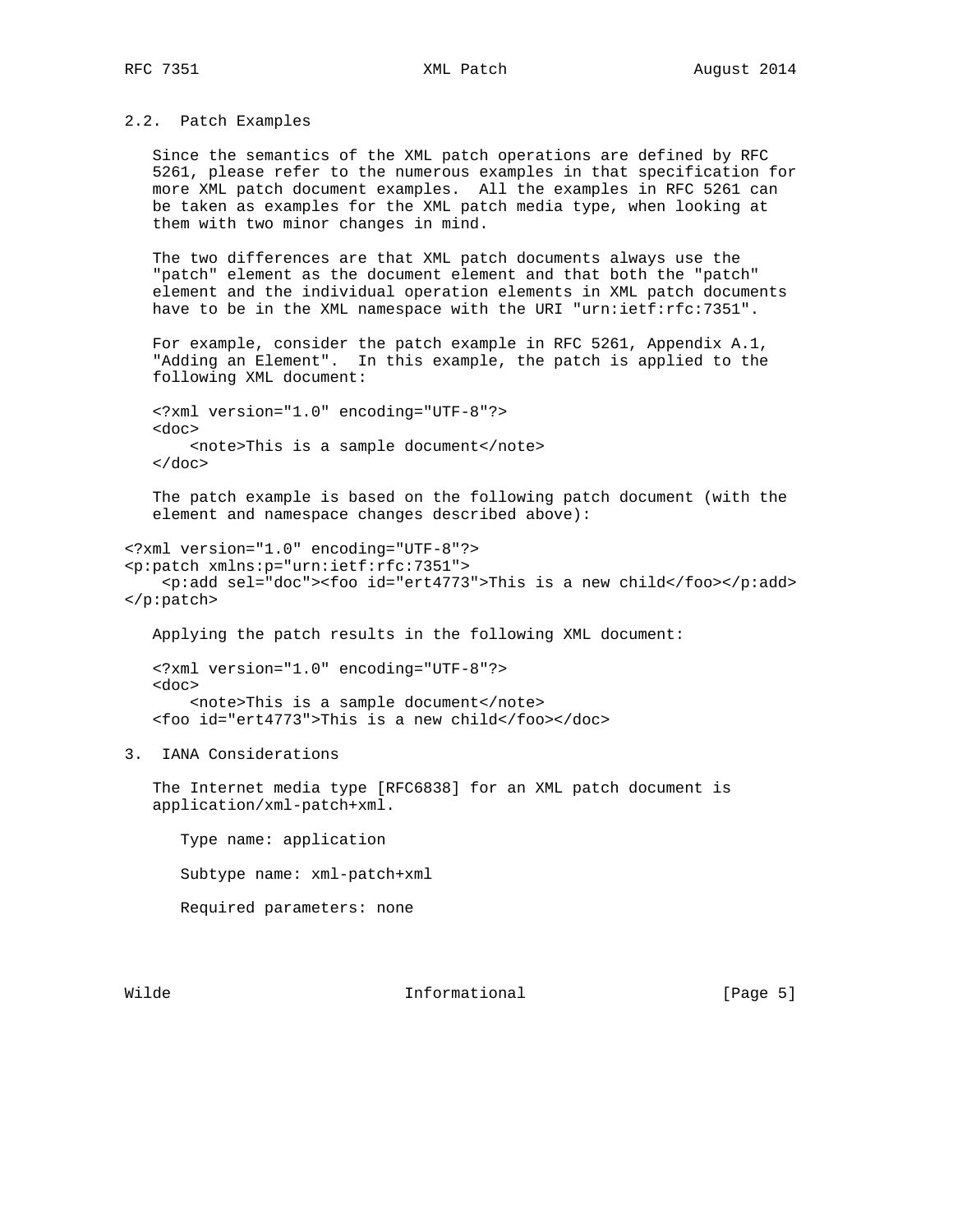2.2. Patch Examples

 Since the semantics of the XML patch operations are defined by RFC 5261, please refer to the numerous examples in that specification for more XML patch document examples. All the examples in RFC 5261 can be taken as examples for the XML patch media type, when looking at them with two minor changes in mind.

 The two differences are that XML patch documents always use the "patch" element as the document element and that both the "patch" element and the individual operation elements in XML patch documents have to be in the XML namespace with the URI "urn:ietf:rfc:7351".

 For example, consider the patch example in RFC 5261, Appendix A.1, "Adding an Element". In this example, the patch is applied to the following XML document:

 <?xml version="1.0" encoding="UTF-8"?> <doc> <note>This is a sample document</note> </doc>

 The patch example is based on the following patch document (with the element and namespace changes described above):

<?xml version="1.0" encoding="UTF-8"?> <p:patch xmlns:p="urn:ietf:rfc:7351"> <p:add sel="doc"><foo id="ert4773">This is a new child</foo></p:add> </p:patch>

Applying the patch results in the following XML document:

 <?xml version="1.0" encoding="UTF-8"?> <doc> <note>This is a sample document</note> <foo id="ert4773">This is a new child</foo></doc>

3. IANA Considerations

 The Internet media type [RFC6838] for an XML patch document is application/xml-patch+xml.

 Type name: application Subtype name: xml-patch+xml Required parameters: none

Wilde **Informational** Informational **Informational** [Page 5]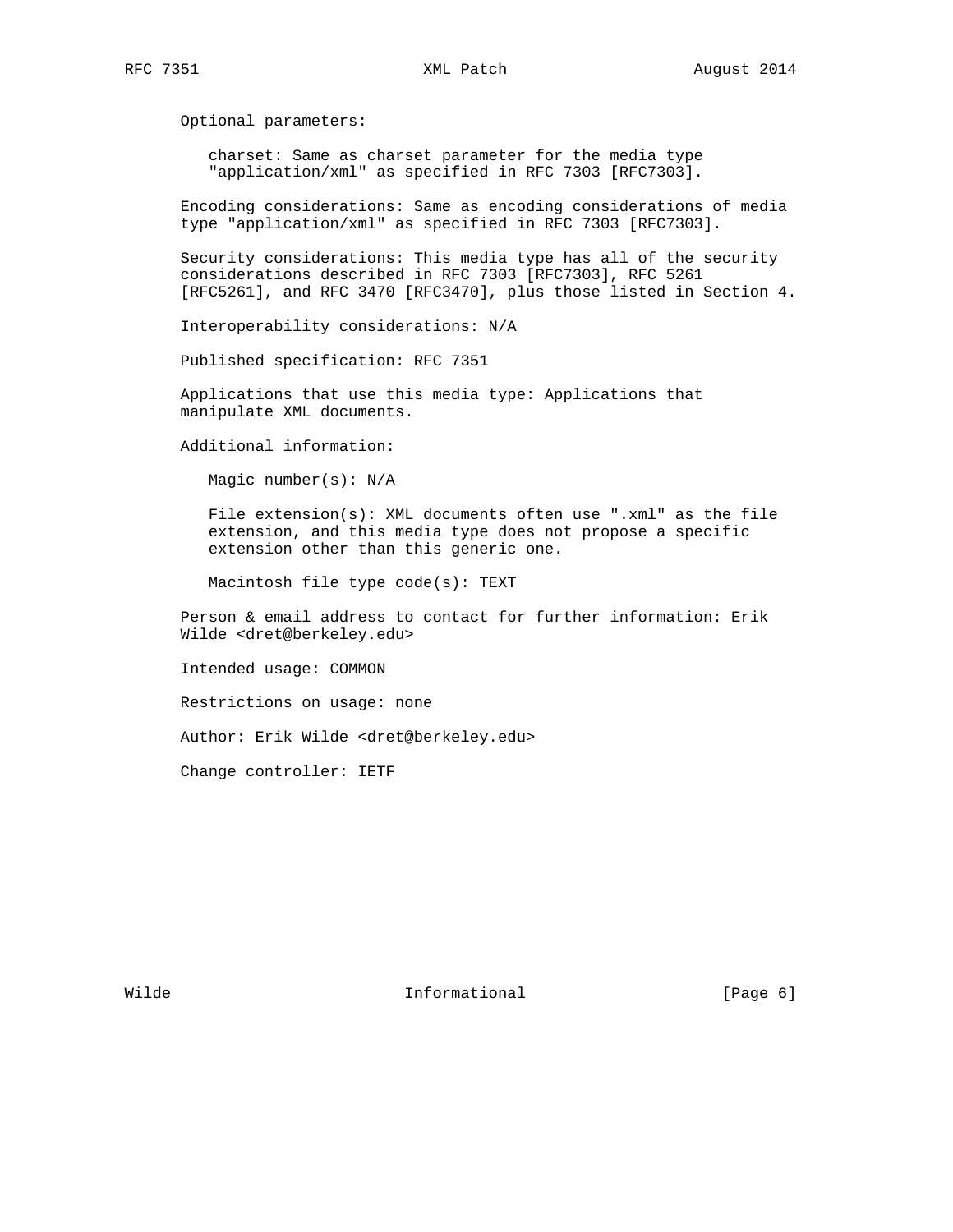Optional parameters:

 charset: Same as charset parameter for the media type "application/xml" as specified in RFC 7303 [RFC7303].

 Encoding considerations: Same as encoding considerations of media type "application/xml" as specified in RFC 7303 [RFC7303].

 Security considerations: This media type has all of the security considerations described in RFC 7303 [RFC7303], RFC 5261 [RFC5261], and RFC 3470 [RFC3470], plus those listed in Section 4.

Interoperability considerations: N/A

Published specification: RFC 7351

 Applications that use this media type: Applications that manipulate XML documents.

Additional information:

Magic number(s): N/A

 File extension(s): XML documents often use ".xml" as the file extension, and this media type does not propose a specific extension other than this generic one.

Macintosh file type code(s): TEXT

 Person & email address to contact for further information: Erik Wilde <dret@berkeley.edu>

Intended usage: COMMON

Restrictions on usage: none

Author: Erik Wilde <dret@berkeley.edu>

Change controller: IETF

Wilde **Informational Informational** [Page 6]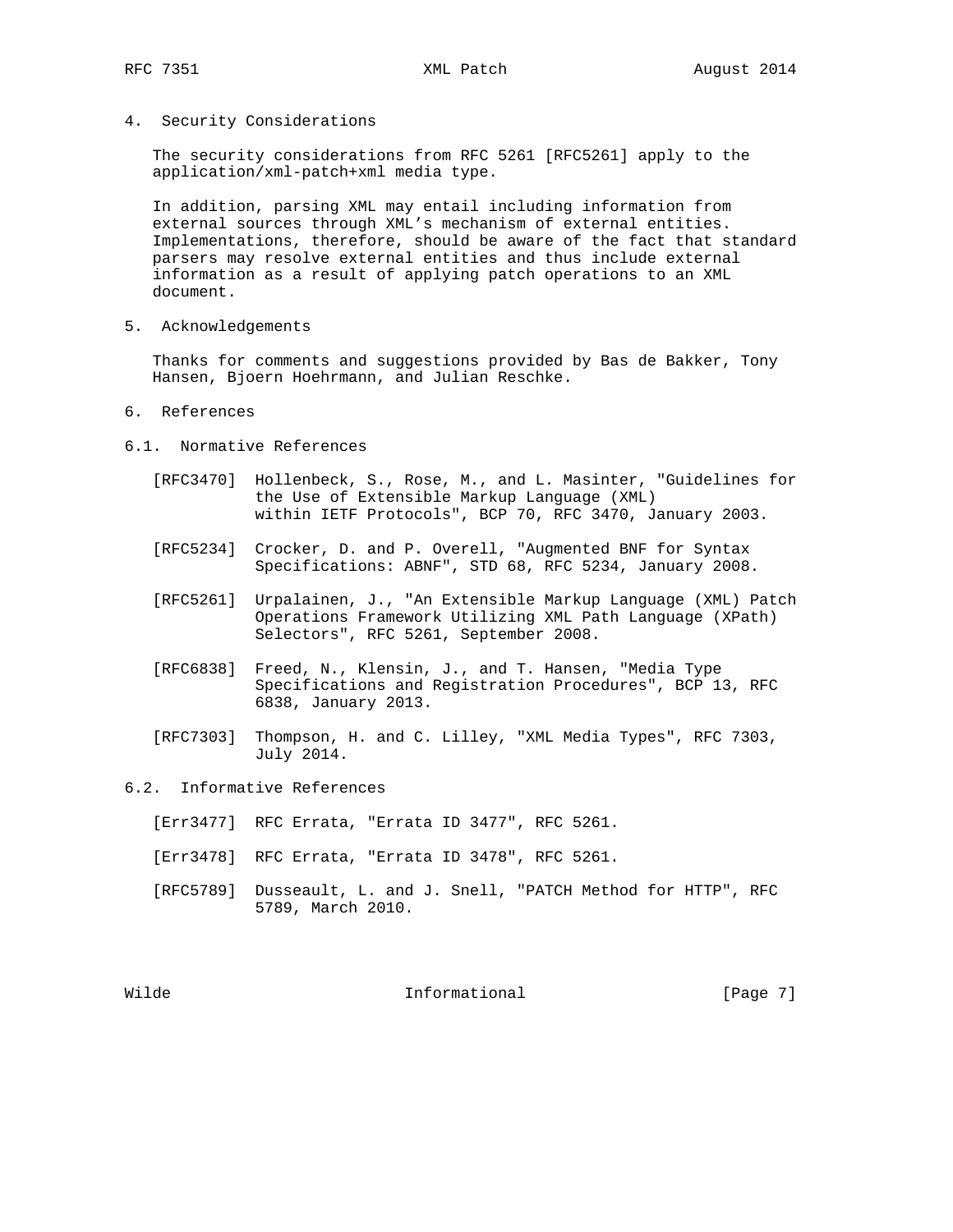4. Security Considerations

 The security considerations from RFC 5261 [RFC5261] apply to the application/xml-patch+xml media type.

 In addition, parsing XML may entail including information from external sources through XML's mechanism of external entities. Implementations, therefore, should be aware of the fact that standard parsers may resolve external entities and thus include external information as a result of applying patch operations to an XML document.

5. Acknowledgements

 Thanks for comments and suggestions provided by Bas de Bakker, Tony Hansen, Bjoern Hoehrmann, and Julian Reschke.

- 6. References
- 6.1. Normative References
	- [RFC3470] Hollenbeck, S., Rose, M., and L. Masinter, "Guidelines for the Use of Extensible Markup Language (XML) within IETF Protocols", BCP 70, RFC 3470, January 2003.
	- [RFC5234] Crocker, D. and P. Overell, "Augmented BNF for Syntax Specifications: ABNF", STD 68, RFC 5234, January 2008.
	- [RFC5261] Urpalainen, J., "An Extensible Markup Language (XML) Patch Operations Framework Utilizing XML Path Language (XPath) Selectors", RFC 5261, September 2008.
	- [RFC6838] Freed, N., Klensin, J., and T. Hansen, "Media Type Specifications and Registration Procedures", BCP 13, RFC 6838, January 2013.
	- [RFC7303] Thompson, H. and C. Lilley, "XML Media Types", RFC 7303, July 2014.
- 6.2. Informative References
	- [Err3477] RFC Errata, "Errata ID 3477", RFC 5261.
	- [Err3478] RFC Errata, "Errata ID 3478", RFC 5261.
	- [RFC5789] Dusseault, L. and J. Snell, "PATCH Method for HTTP", RFC 5789, March 2010.

Wilde **Informational Informational Informational** [Page 7]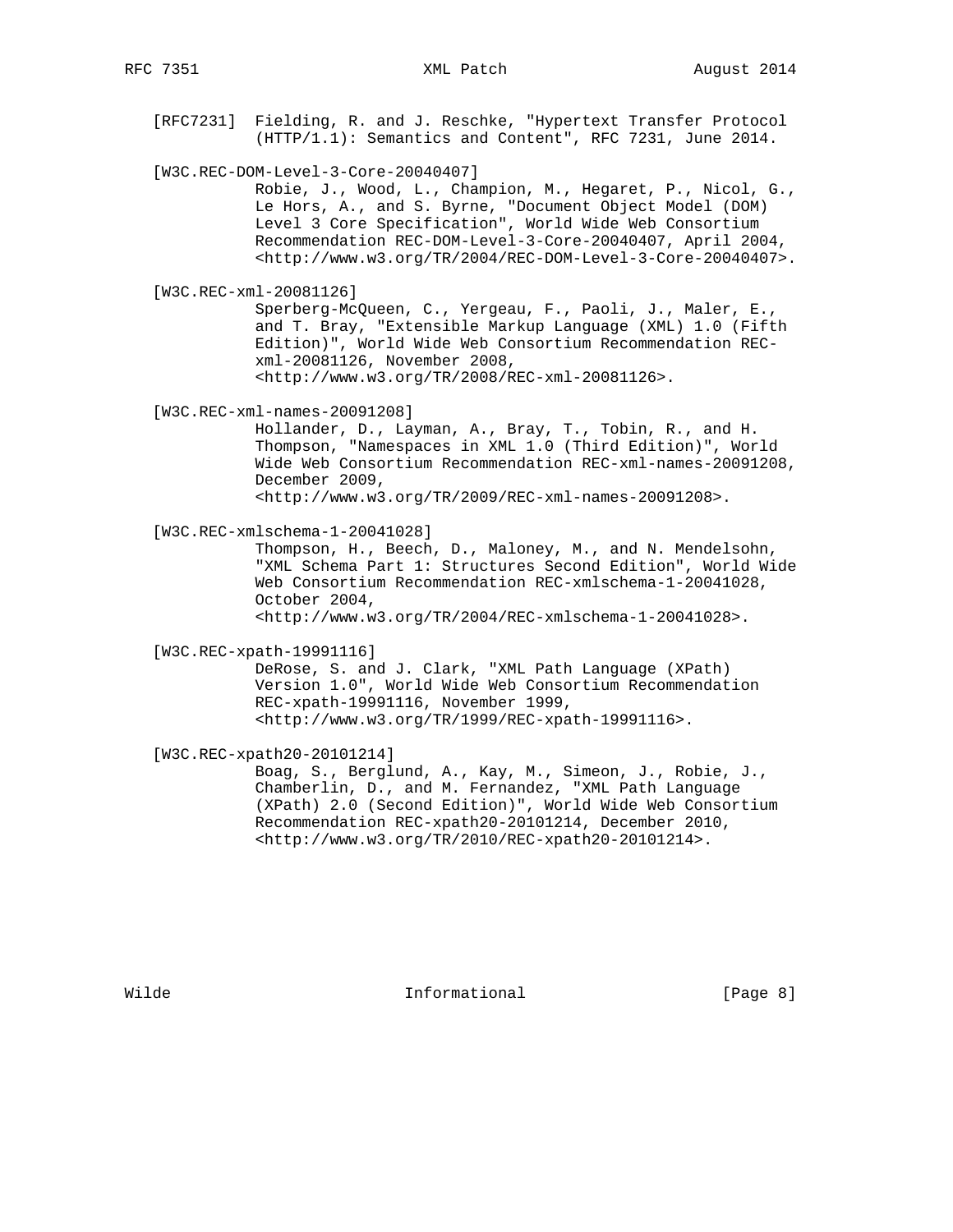[RFC7231] Fielding, R. and J. Reschke, "Hypertext Transfer Protocol (HTTP/1.1): Semantics and Content", RFC 7231, June 2014.

[W3C.REC-DOM-Level-3-Core-20040407]

 Robie, J., Wood, L., Champion, M., Hegaret, P., Nicol, G., Le Hors, A., and S. Byrne, "Document Object Model (DOM) Level 3 Core Specification", World Wide Web Consortium Recommendation REC-DOM-Level-3-Core-20040407, April 2004, <http://www.w3.org/TR/2004/REC-DOM-Level-3-Core-20040407>.

[W3C.REC-xml-20081126]

 Sperberg-McQueen, C., Yergeau, F., Paoli, J., Maler, E., and T. Bray, "Extensible Markup Language (XML) 1.0 (Fifth Edition)", World Wide Web Consortium Recommendation REC xml-20081126, November 2008, <http://www.w3.org/TR/2008/REC-xml-20081126>.

[W3C.REC-xml-names-20091208]

 Hollander, D., Layman, A., Bray, T., Tobin, R., and H. Thompson, "Namespaces in XML 1.0 (Third Edition)", World Wide Web Consortium Recommendation REC-xml-names-20091208, December 2009,

<http://www.w3.org/TR/2009/REC-xml-names-20091208>.

[W3C.REC-xmlschema-1-20041028]

 Thompson, H., Beech, D., Maloney, M., and N. Mendelsohn, "XML Schema Part 1: Structures Second Edition", World Wide Web Consortium Recommendation REC-xmlschema-1-20041028, October 2004,

<http://www.w3.org/TR/2004/REC-xmlschema-1-20041028>.

[W3C.REC-xpath-19991116]

 DeRose, S. and J. Clark, "XML Path Language (XPath) Version 1.0", World Wide Web Consortium Recommendation REC-xpath-19991116, November 1999, <http://www.w3.org/TR/1999/REC-xpath-19991116>.

[W3C.REC-xpath20-20101214]

 Boag, S., Berglund, A., Kay, M., Simeon, J., Robie, J., Chamberlin, D., and M. Fernandez, "XML Path Language (XPath) 2.0 (Second Edition)", World Wide Web Consortium Recommendation REC-xpath20-20101214, December 2010, <http://www.w3.org/TR/2010/REC-xpath20-20101214>.

Wilde **Informational Informational** [Page 8]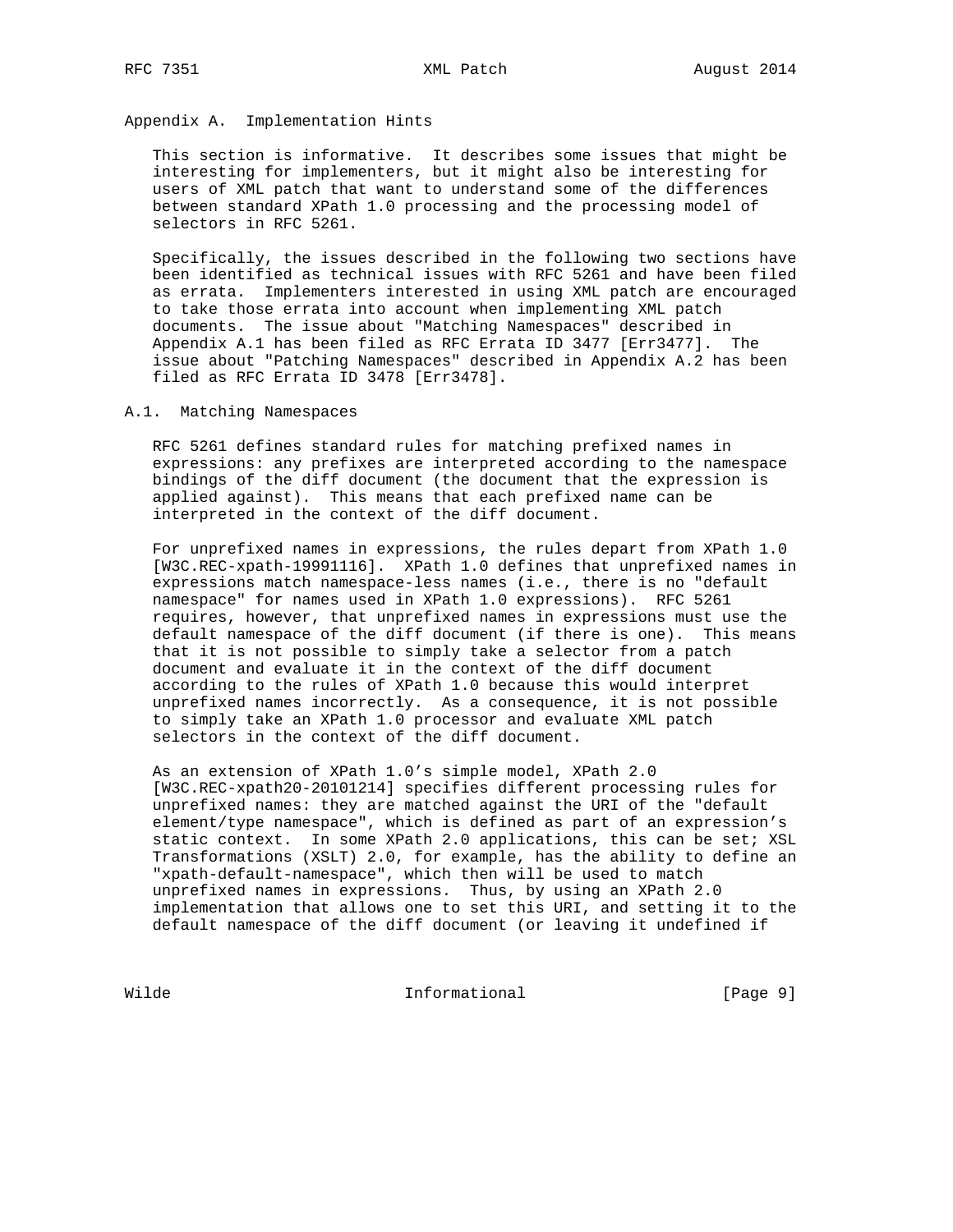Appendix A. Implementation Hints

 This section is informative. It describes some issues that might be interesting for implementers, but it might also be interesting for users of XML patch that want to understand some of the differences between standard XPath 1.0 processing and the processing model of selectors in RFC 5261.

 Specifically, the issues described in the following two sections have been identified as technical issues with RFC 5261 and have been filed as errata. Implementers interested in using XML patch are encouraged to take those errata into account when implementing XML patch documents. The issue about "Matching Namespaces" described in Appendix A.1 has been filed as RFC Errata ID 3477 [Err3477]. The issue about "Patching Namespaces" described in Appendix A.2 has been filed as RFC Errata ID 3478 [Err3478].

# A.1. Matching Namespaces

 RFC 5261 defines standard rules for matching prefixed names in expressions: any prefixes are interpreted according to the namespace bindings of the diff document (the document that the expression is applied against). This means that each prefixed name can be interpreted in the context of the diff document.

 For unprefixed names in expressions, the rules depart from XPath 1.0 [W3C.REC-xpath-19991116]. XPath 1.0 defines that unprefixed names in expressions match namespace-less names (i.e., there is no "default namespace" for names used in XPath 1.0 expressions). RFC 5261 requires, however, that unprefixed names in expressions must use the default namespace of the diff document (if there is one). This means that it is not possible to simply take a selector from a patch document and evaluate it in the context of the diff document according to the rules of XPath 1.0 because this would interpret unprefixed names incorrectly. As a consequence, it is not possible to simply take an XPath 1.0 processor and evaluate XML patch selectors in the context of the diff document.

 As an extension of XPath 1.0's simple model, XPath 2.0 [W3C.REC-xpath20-20101214] specifies different processing rules for unprefixed names: they are matched against the URI of the "default element/type namespace", which is defined as part of an expression's static context. In some XPath 2.0 applications, this can be set; XSL Transformations (XSLT) 2.0, for example, has the ability to define an "xpath-default-namespace", which then will be used to match unprefixed names in expressions. Thus, by using an XPath 2.0 implementation that allows one to set this URI, and setting it to the default namespace of the diff document (or leaving it undefined if

Wilde **Informational Informational** [Page 9]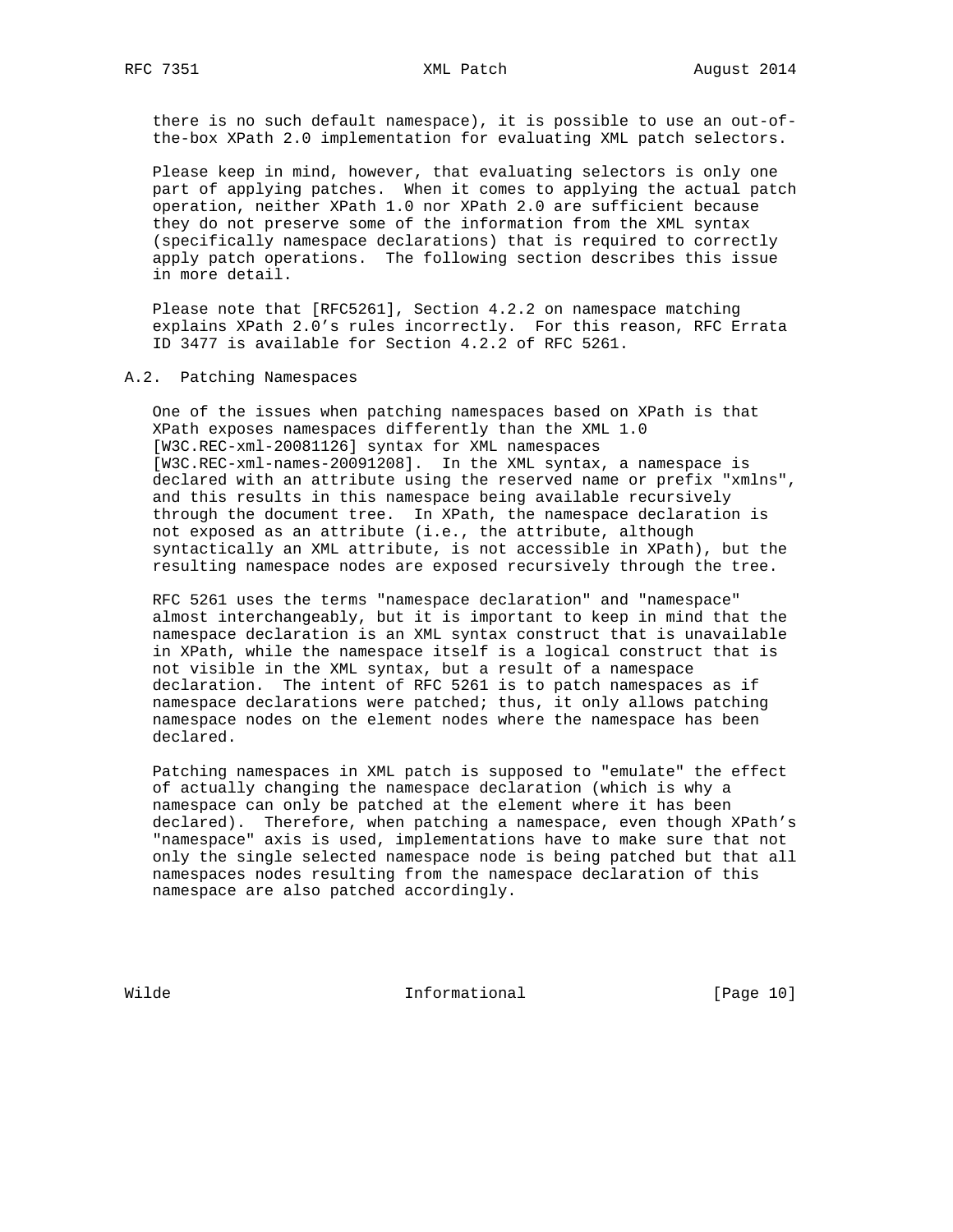there is no such default namespace), it is possible to use an out-of the-box XPath 2.0 implementation for evaluating XML patch selectors.

 Please keep in mind, however, that evaluating selectors is only one part of applying patches. When it comes to applying the actual patch operation, neither XPath 1.0 nor XPath 2.0 are sufficient because they do not preserve some of the information from the XML syntax (specifically namespace declarations) that is required to correctly apply patch operations. The following section describes this issue in more detail.

 Please note that [RFC5261], Section 4.2.2 on namespace matching explains XPath 2.0's rules incorrectly. For this reason, RFC Errata ID 3477 is available for Section 4.2.2 of RFC 5261.

## A.2. Patching Namespaces

 One of the issues when patching namespaces based on XPath is that XPath exposes namespaces differently than the XML 1.0 [W3C.REC-xml-20081126] syntax for XML namespaces [W3C.REC-xml-names-20091208]. In the XML syntax, a namespace is declared with an attribute using the reserved name or prefix "xmlns", and this results in this namespace being available recursively through the document tree. In XPath, the namespace declaration is not exposed as an attribute (i.e., the attribute, although syntactically an XML attribute, is not accessible in XPath), but the resulting namespace nodes are exposed recursively through the tree.

 RFC 5261 uses the terms "namespace declaration" and "namespace" almost interchangeably, but it is important to keep in mind that the namespace declaration is an XML syntax construct that is unavailable in XPath, while the namespace itself is a logical construct that is not visible in the XML syntax, but a result of a namespace declaration. The intent of RFC 5261 is to patch namespaces as if namespace declarations were patched; thus, it only allows patching namespace nodes on the element nodes where the namespace has been declared.

 Patching namespaces in XML patch is supposed to "emulate" the effect of actually changing the namespace declaration (which is why a namespace can only be patched at the element where it has been declared). Therefore, when patching a namespace, even though XPath's "namespace" axis is used, implementations have to make sure that not only the single selected namespace node is being patched but that all namespaces nodes resulting from the namespace declaration of this namespace are also patched accordingly.

Wilde **Informational Informational** [Page 10]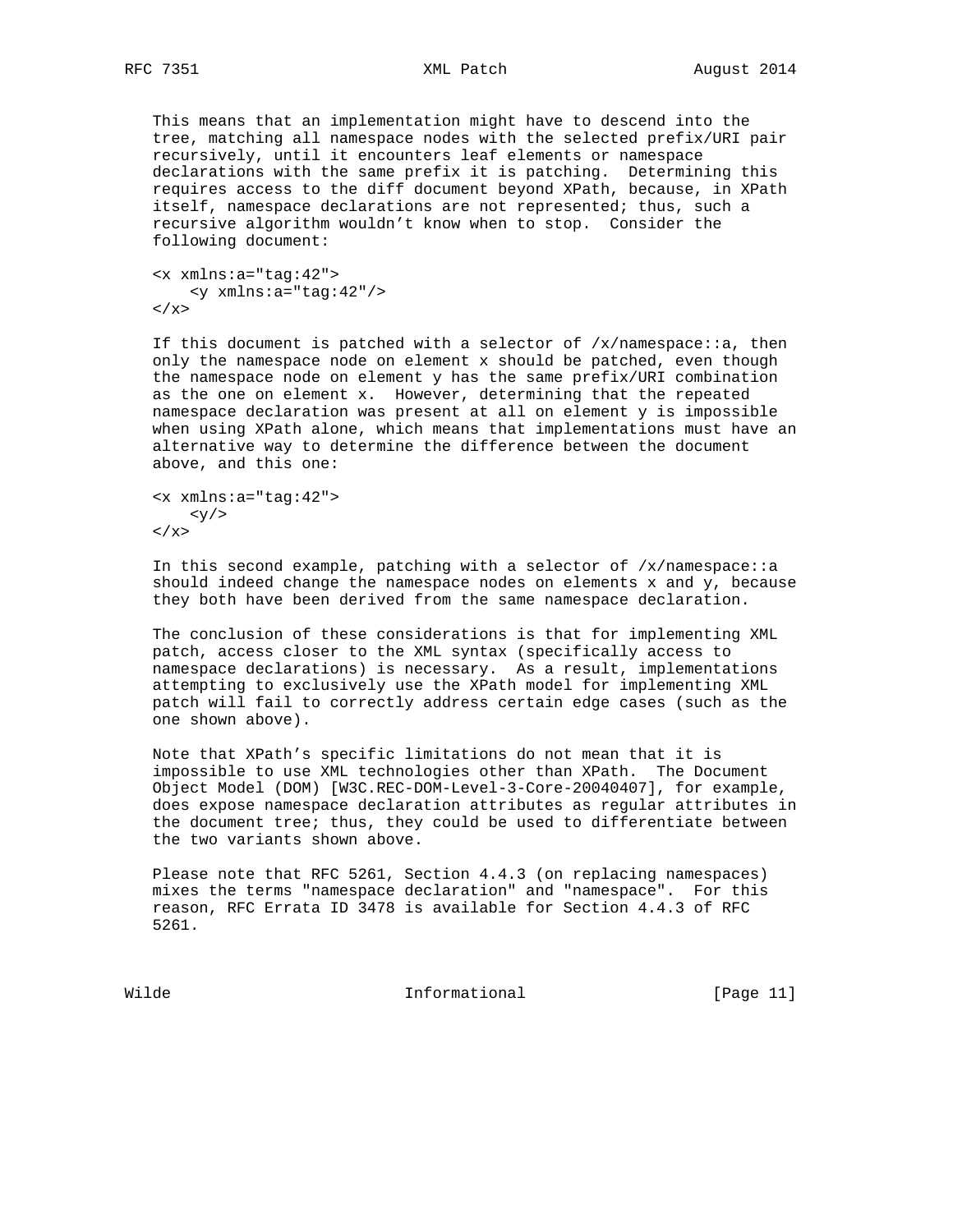This means that an implementation might have to descend into the tree, matching all namespace nodes with the selected prefix/URI pair recursively, until it encounters leaf elements or namespace declarations with the same prefix it is patching. Determining this requires access to the diff document beyond XPath, because, in XPath itself, namespace declarations are not represented; thus, such a recursive algorithm wouldn't know when to stop. Consider the following document:

```
 <x xmlns:a="tag:42">
    <y xmlns:a="tag:42"/>
\langle / x >
```
If this document is patched with a selector of  $/x/n$ amespace: : a, then only the namespace node on element x should be patched, even though the namespace node on element y has the same prefix/URI combination as the one on element x. However, determining that the repeated namespace declaration was present at all on element y is impossible when using XPath alone, which means that implementations must have an alternative way to determine the difference between the document above, and this one:

```
 <x xmlns:a="tag:42">
      <\frac{y}{z}\langle / x >
```
In this second example, patching with a selector of  $/x/n$ amespace: a should indeed change the namespace nodes on elements  $x$  and  $y$ , because they both have been derived from the same namespace declaration.

 The conclusion of these considerations is that for implementing XML patch, access closer to the XML syntax (specifically access to namespace declarations) is necessary. As a result, implementations attempting to exclusively use the XPath model for implementing XML patch will fail to correctly address certain edge cases (such as the one shown above).

 Note that XPath's specific limitations do not mean that it is impossible to use XML technologies other than XPath. The Document Object Model (DOM) [W3C.REC-DOM-Level-3-Core-20040407], for example, does expose namespace declaration attributes as regular attributes in the document tree; thus, they could be used to differentiate between the two variants shown above.

 Please note that RFC 5261, Section 4.4.3 (on replacing namespaces) mixes the terms "namespace declaration" and "namespace". For this reason, RFC Errata ID 3478 is available for Section 4.4.3 of RFC 5261.

Wilde **Informational Informational** [Page 11]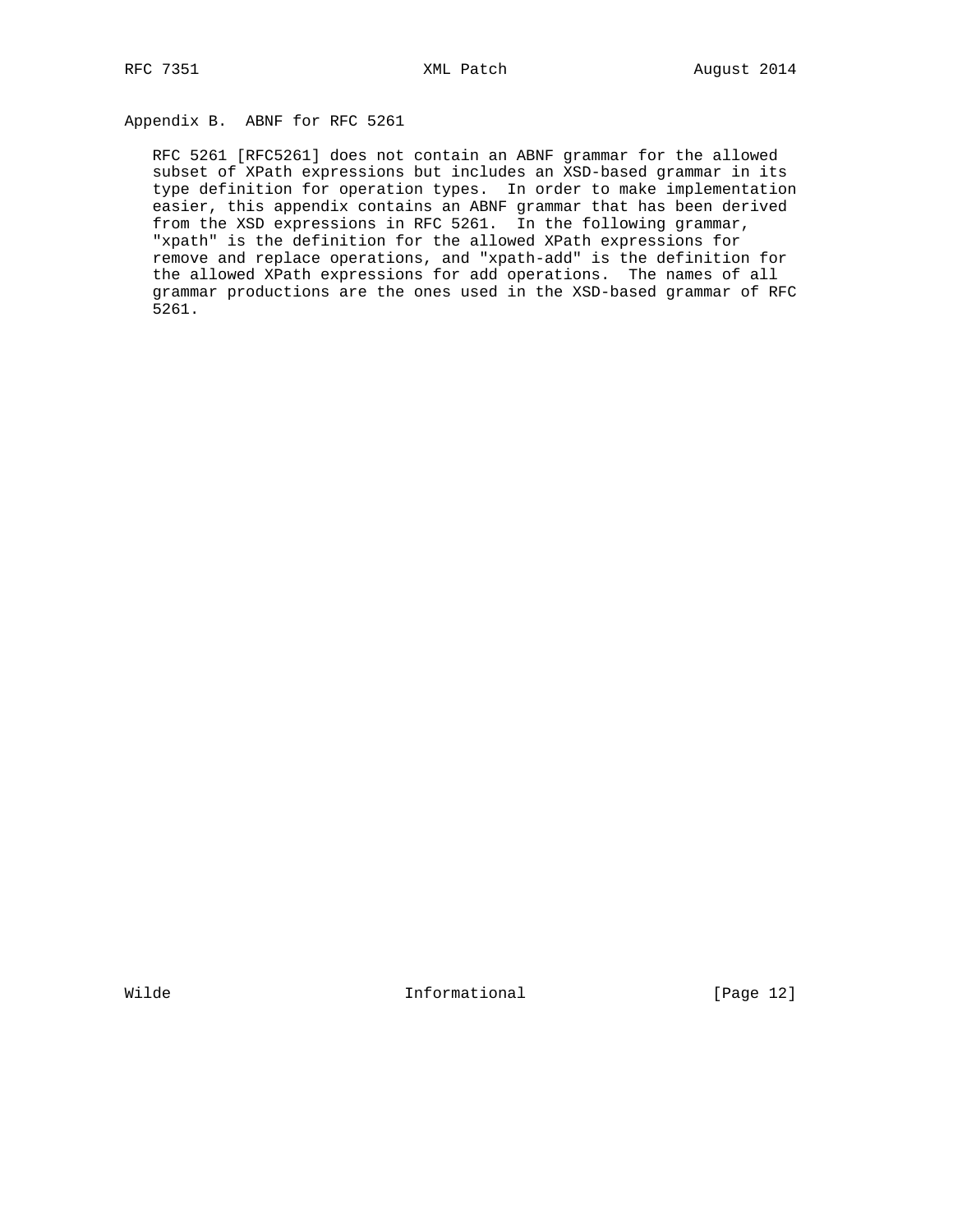# Appendix B. ABNF for RFC 5261

 RFC 5261 [RFC5261] does not contain an ABNF grammar for the allowed subset of XPath expressions but includes an XSD-based grammar in its type definition for operation types. In order to make implementation easier, this appendix contains an ABNF grammar that has been derived from the XSD expressions in RFC 5261. In the following grammar, "xpath" is the definition for the allowed XPath expressions for remove and replace operations, and "xpath-add" is the definition for the allowed XPath expressions for add operations. The names of all grammar productions are the ones used in the XSD-based grammar of RFC 5261.

Wilde **Informational Informational** [Page 12]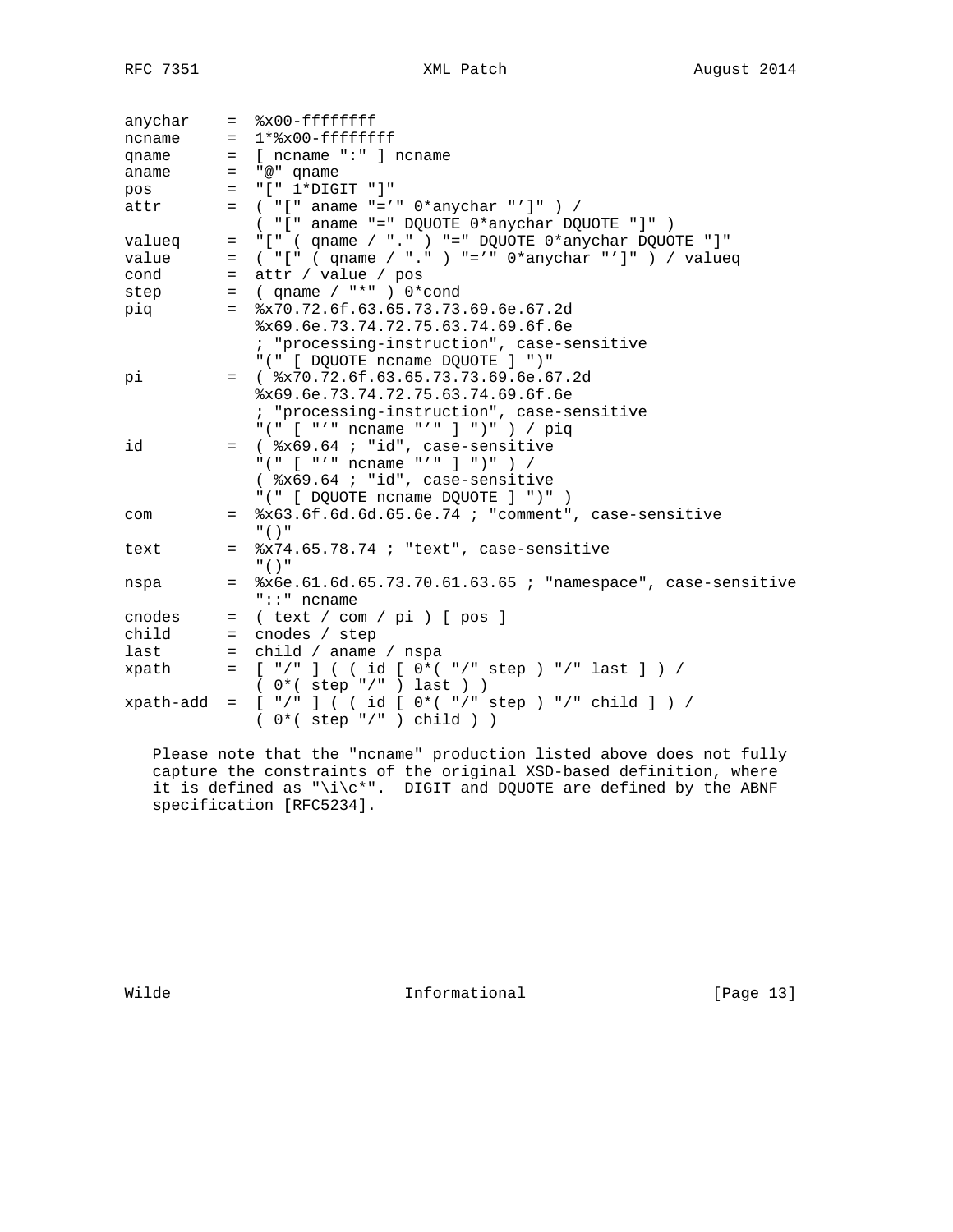| anychar   |         | $=$ $\frac{8x00 - ffffffff}{r}$                              |
|-----------|---------|--------------------------------------------------------------|
| ncname    |         | $= 1*8x00 - fffffffff$                                       |
| qname     | $=$     | [ ncname ":" ] ncname                                        |
| aname     | $=$     | "@" qname                                                    |
| pos       | $=$     | "[" 1*DIGIT "]"                                              |
| attr      |         | $=$ ( "[" aname "='" $0*$ anychar "']" ) /                   |
|           |         | $( "['']$ aname "=" DQUOTE $0*$ anychar DQUOTE "]" )         |
| valueq    | $=$     | "[" $($ qname $/$ "." $)$ "=" DQUOTE $0*$ anychar DQUOTE "]" |
| value     | $=$     | ( "[" ( $qname / "."$ ) "='" $0*anychar "']"$ ) / $valueq$   |
| cond      | $=$     | attr / value / pos                                           |
| step      | $=$     | (qname / "*" ) $0*cond$                                      |
| piq       | $=$     | 8x70.72.6f.63.65.73.73.69.6e.67.2d                           |
|           |         | x69.6e.73.74.72.75.63.74.69.6f.6e                            |
|           |         | ; "processing-instruction", case-sensitive                   |
|           |         | "(" [ DQUOTE ncname DQUOTE ] ")"                             |
| рi        |         | $=$ ( $\frac{1}{2}x70.72.6f.63.65.73.73.69.6e.67.2d$         |
|           |         | x69.6e.73.74.72.75.63.74.69.6f.6e                            |
|           |         | ; "processing-instruction", case-sensitive                   |
|           |         | "(" [ "'" ncname "'" ] ")" ) / piq                           |
| id        |         | = (%x69.64; "id", case-sensitive                             |
|           |         | "(" [ "'" ncname "'" ] ")" ) /                               |
|           |         | $(*x69.64 : "id", case-sensitive$                            |
|           |         | "(" [ DQUOTE ncname DQUOTE ] ")" )                           |
| com       | $=$ $-$ | %x63.6f.6d.6d.65.6e.74 ; "comment", case-sensitive<br>"(')   |
| text      | $=$     | $x74.65.78.74$ ; "text", case-sensitive                      |
|           |         | $"$ ( ) $"$                                                  |
| nspa      | $=$     | %x6e.61.6d.65.73.70.61.63.65 ; "namespace", case-sensitive   |
|           |         | $"::"$ ncname                                                |
| cnodes    | $=$     | ( text / com / pi ) [ pos ]                                  |
| child     |         | $=$ cnodes / step                                            |
| last      | $=$     | child / aname / nspa                                         |
| xpath     | $=$     | [ "/" ] ( ( id [ 0*( "/" step ) "/" last ] ) /               |
|           |         | $( 0*( step " / " ) last ) )$                                |
| xpath-add | $=$     | $[ "/"] ($ ( $id [ 0*( "/" step ) "/" child ] ) /$           |
|           |         | $0*($ step $*/"$ ) child ) )                                 |

 Please note that the "ncname" production listed above does not fully capture the constraints of the original XSD-based definition, where it is defined as "\i\c\*". DIGIT and DQUOTE are defined by the ABNF specification [RFC5234].

Wilde **Informational Informational** [Page 13]